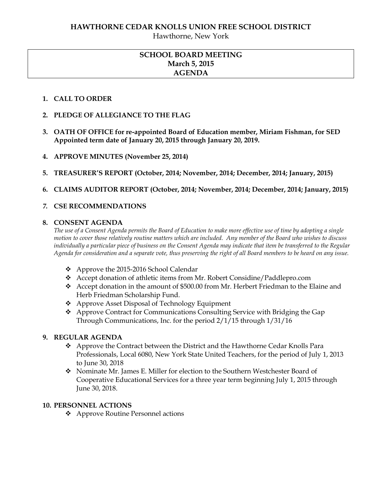Hawthorne, New York

### **SCHOOL BOARD MEETING March 5, 2015 AGENDA**

#### **1. CALL TO ORDER**

- **2. PLEDGE OF ALLEGIANCE TO THE FLAG**
- **3. OATH OF OFFICE for re-appointed Board of Education member, Miriam Fishman, for SED Appointed term date of January 20, 2015 through January 20, 2019.**
- **4. APPROVE MINUTES (November 25, 2014)**
- **5. TREASURER'S REPORT (October, 2014; November, 2014; December, 2014; January, 2015)**
- **6. CLAIMS AUDITOR REPORT (October, 2014; November, 2014; December, 2014; January, 2015)**

#### *7.* **CSE RECOMMENDATIONS**

#### **8. CONSENT AGENDA**

*The use of a Consent Agenda permits the Board of Education to make more effective use of time by adopting a single motion to cover those relatively routine matters which are included. Any member of the Board who wishes to discuss individually a particular piece of business on the Consent Agenda may indicate that item be transferred to the Regular Agenda for consideration and a separate vote, thus preserving the right of all Board members to be heard on any issue.* 

- Approve the 2015-2016 School Calendar
- Accept donation of athletic items from Mr. Robert Considine/Paddlepro.com
- Accept donation in the amount of \$500.00 from Mr. Herbert Friedman to the Elaine and Herb Friedman Scholarship Fund.
- Approve Asset Disposal of Technology Equipment
- Approve Contract for Communications Consulting Service with Bridging the Gap Through Communications, Inc. for the period 2/1/15 through 1/31/16

### **9. REGULAR AGENDA**

- Approve the Contract between the District and the Hawthorne Cedar Knolls Para Professionals, Local 6080, New York State United Teachers, for the period of July 1, 2013 to June 30, 2018
- Nominate Mr. James E. Miller for election to the Southern Westchester Board of Cooperative Educational Services for a three year term beginning July 1, 2015 through June 30, 2018.

#### **10. PERSONNEL ACTIONS**

Approve Routine Personnel actions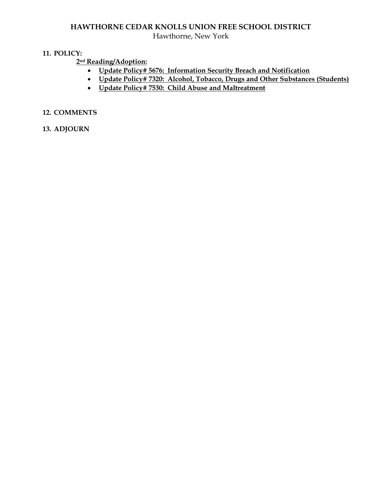# **HAWTHORNE CEDAR KNOLLS UNION FREE SCHOOL DISTRICT**

Hawthorne, New York

#### **11. POLICY:**

## **2nd Reading/Adoption:**

- **Update Policy# 5676: Information Security Breach and Notification**
- **Update Policy# 7320: Alcohol, Tobacco, Drugs and Other Substances (Students)**
- **Update Policy# 7530: Child Abuse and Maltreatment**

### **12. COMMENTS**

#### **13. ADJOURN**